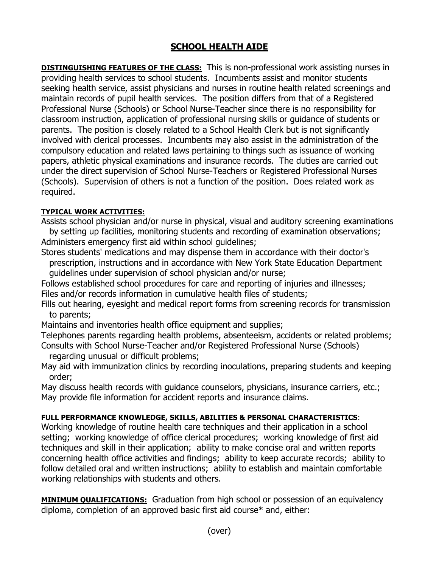## **SCHOOL HEALTH AIDE**

**DISTINGUISHING FEATURES OF THE CLASS:** This is non-professional work assisting nurses in providing health services to school students. Incumbents assist and monitor students seeking health service, assist physicians and nurses in routine health related screenings and maintain records of pupil health services. The position differs from that of a Registered Professional Nurse (Schools) or School Nurse-Teacher since there is no responsibility for classroom instruction, application of professional nursing skills or guidance of students or parents. The position is closely related to a School Health Clerk but is not significantly involved with clerical processes. Incumbents may also assist in the administration of the compulsory education and related laws pertaining to things such as issuance of working papers, athletic physical examinations and insurance records. The duties are carried out under the direct supervision of School Nurse-Teachers or Registered Professional Nurses (Schools). Supervision of others is not a function of the position. Does related work as required.

## **TYPICAL WORK ACTIVITIES:**

Assists school physician and/or nurse in physical, visual and auditory screening examinations by setting up facilities, monitoring students and recording of examination observations; Administers emergency first aid within school guidelines;

Stores students' medications and may dispense them in accordance with their doctor's prescription, instructions and in accordance with New York State Education Department guidelines under supervision of school physician and/or nurse;

Follows established school procedures for care and reporting of injuries and illnesses; Files and/or records information in cumulative health files of students;

Fills out hearing, eyesight and medical report forms from screening records for transmission to parents;

Maintains and inventories health office equipment and supplies;

Telephones parents regarding health problems, absenteeism, accidents or related problems; Consults with School Nurse-Teacher and/or Registered Professional Nurse (Schools)

regarding unusual or difficult problems;

May aid with immunization clinics by recording inoculations, preparing students and keeping order;

May discuss health records with quidance counselors, physicians, insurance carriers, etc.; May provide file information for accident reports and insurance claims.

## **FULL PERFORMANCE KNOWLEDGE, SKILLS, ABILITIES & PERSONAL CHARACTERISTICS**:

Working knowledge of routine health care techniques and their application in a school setting; working knowledge of office clerical procedures; working knowledge of first aid techniques and skill in their application; ability to make concise oral and written reports concerning health office activities and findings; ability to keep accurate records; ability to follow detailed oral and written instructions; ability to establish and maintain comfortable working relationships with students and others.

**MINIMUM QUALIFICATIONS:** Graduation from high school or possession of an equivalency diploma, completion of an approved basic first aid course\* and, either: